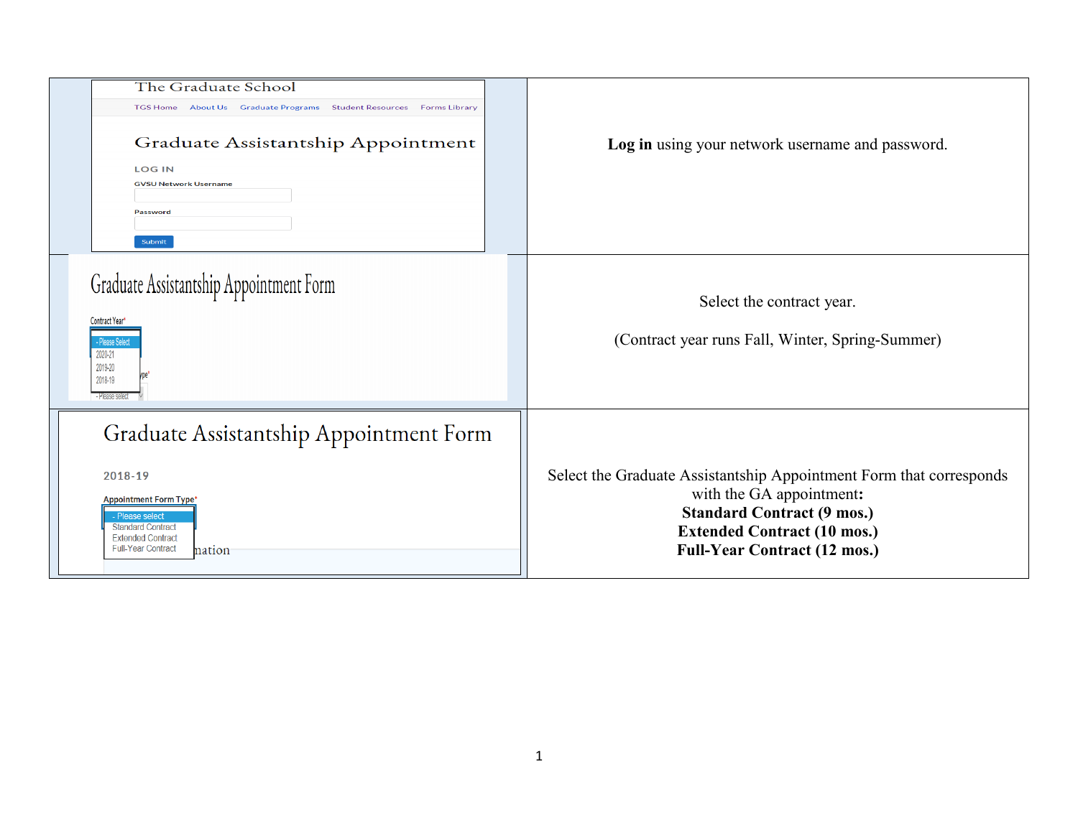| The Graduate School<br>TGS Home About Us<br><b>Graduate Programs Student Resources Forms Library</b><br>Graduate Assistantship Appointment<br><b>LOG IN</b><br><b>GVSU Network Username</b><br>Password<br>Submit | Log in using your network username and password.                                                                                                                                                                  |
|-------------------------------------------------------------------------------------------------------------------------------------------------------------------------------------------------------------------|-------------------------------------------------------------------------------------------------------------------------------------------------------------------------------------------------------------------|
| Graduate Assistantship Appointment Form<br><b>Contract Year'</b><br>- Please Select<br>2020-21<br>2019-20<br>2018-19<br>- Please select                                                                           | Select the contract year.<br>(Contract year runs Fall, Winter, Spring-Summer)                                                                                                                                     |
| Graduate Assistantship Appointment Form<br>2018-19<br><b>Appointment Form Type*</b><br>- Please select<br><b>Standard Contract</b><br><b>Extended Contract</b><br><b>Full-Year Contract</b><br>nation             | Select the Graduate Assistantship Appointment Form that corresponds<br>with the GA appointment:<br><b>Standard Contract (9 mos.)</b><br><b>Extended Contract (10 mos.)</b><br><b>Full-Year Contract (12 mos.)</b> |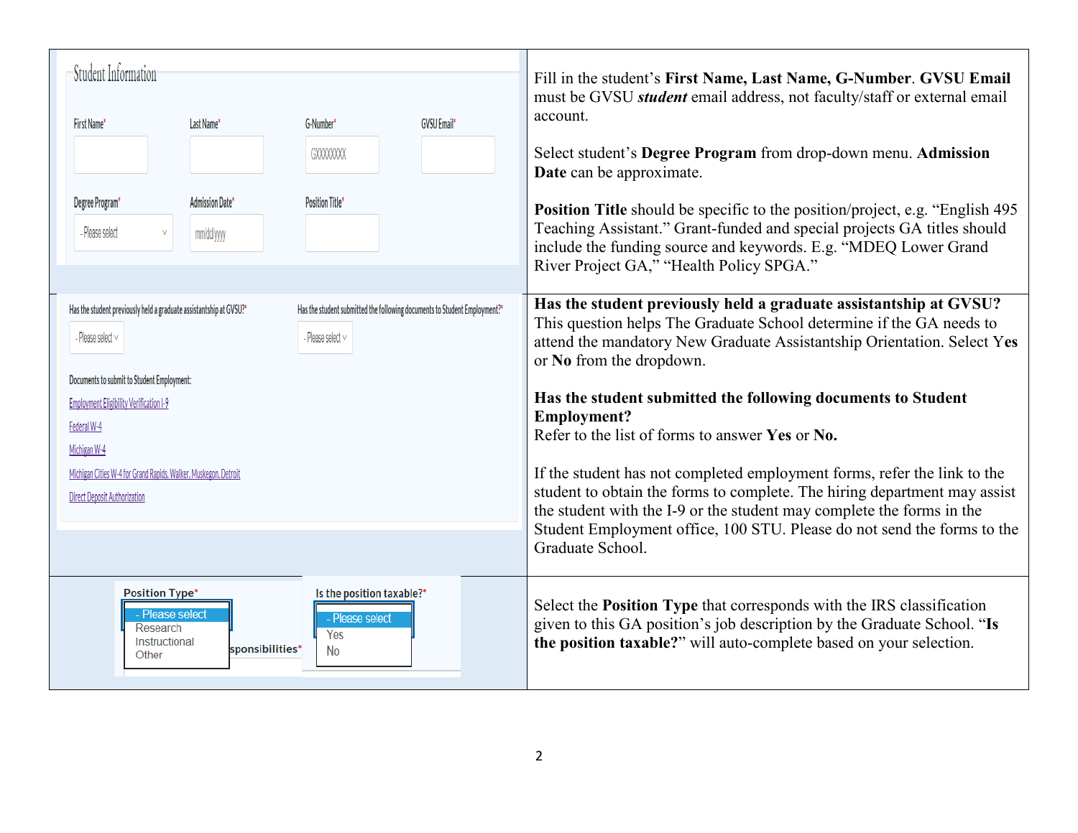| Student Information<br>First Name*                                                                                                                                                                                                                                                                                                    | Last Name*                           | G-Number*                                                                                           | <b>GVSU Email*</b> | Fill in the student's First Name, Last Name, G-Number. GVSU Email<br>must be GVSU <i>student</i> email address, not faculty/staff or external email<br>account.                                                                                                                                                                                                                                                                                                                                                                                                                                                                                                                                                            |
|---------------------------------------------------------------------------------------------------------------------------------------------------------------------------------------------------------------------------------------------------------------------------------------------------------------------------------------|--------------------------------------|-----------------------------------------------------------------------------------------------------|--------------------|----------------------------------------------------------------------------------------------------------------------------------------------------------------------------------------------------------------------------------------------------------------------------------------------------------------------------------------------------------------------------------------------------------------------------------------------------------------------------------------------------------------------------------------------------------------------------------------------------------------------------------------------------------------------------------------------------------------------------|
|                                                                                                                                                                                                                                                                                                                                       |                                      | <b>GXXXXXXXX</b>                                                                                    |                    | Select student's Degree Program from drop-down menu. Admission<br>Date can be approximate.                                                                                                                                                                                                                                                                                                                                                                                                                                                                                                                                                                                                                                 |
| Degree Program*<br>- Please select<br>$\vee$                                                                                                                                                                                                                                                                                          | <b>Admission Date*</b><br>mm/dd/yyyy | <b>Position Title*</b>                                                                              |                    | <b>Position Title</b> should be specific to the position/project, e.g. "English 495"<br>Teaching Assistant." Grant-funded and special projects GA titles should<br>include the funding source and keywords. E.g. "MDEQ Lower Grand<br>River Project GA," "Health Policy SPGA."                                                                                                                                                                                                                                                                                                                                                                                                                                             |
| Has the student previously held a graduate assistantship at GVSU?*<br>- Please select $\vee$<br>Documents to submit to Student Employment:<br><b>Employment Eligibility Verification I-9</b><br>Federal W-4<br>Michigan W-4<br>Michigan Cities W-4 for Grand Rapids, Walker, Muskegon, Detroit<br><b>Direct Deposit Authorization</b> |                                      | Has the student submitted the following documents to Student Employment?*<br>- Please select $\vee$ |                    | Has the student previously held a graduate assistantship at GVSU?<br>This question helps The Graduate School determine if the GA needs to<br>attend the mandatory New Graduate Assistantship Orientation. Select Yes<br>or No from the dropdown.<br>Has the student submitted the following documents to Student<br><b>Employment?</b><br>Refer to the list of forms to answer Yes or No.<br>If the student has not completed employment forms, refer the link to the<br>student to obtain the forms to complete. The hiring department may assist<br>the student with the I-9 or the student may complete the forms in the<br>Student Employment office, 100 STU. Please do not send the forms to the<br>Graduate School. |
| <b>Position Type*</b><br>- Please select<br>Research<br>Instructional<br>Other                                                                                                                                                                                                                                                        | sponsibilities*                      | Is the position taxable?*<br>- Please select<br>Yes<br><b>No</b>                                    |                    | Select the <b>Position Type</b> that corresponds with the IRS classification<br>given to this GA position's job description by the Graduate School. "Is<br>the position taxable?" will auto-complete based on your selection.                                                                                                                                                                                                                                                                                                                                                                                                                                                                                              |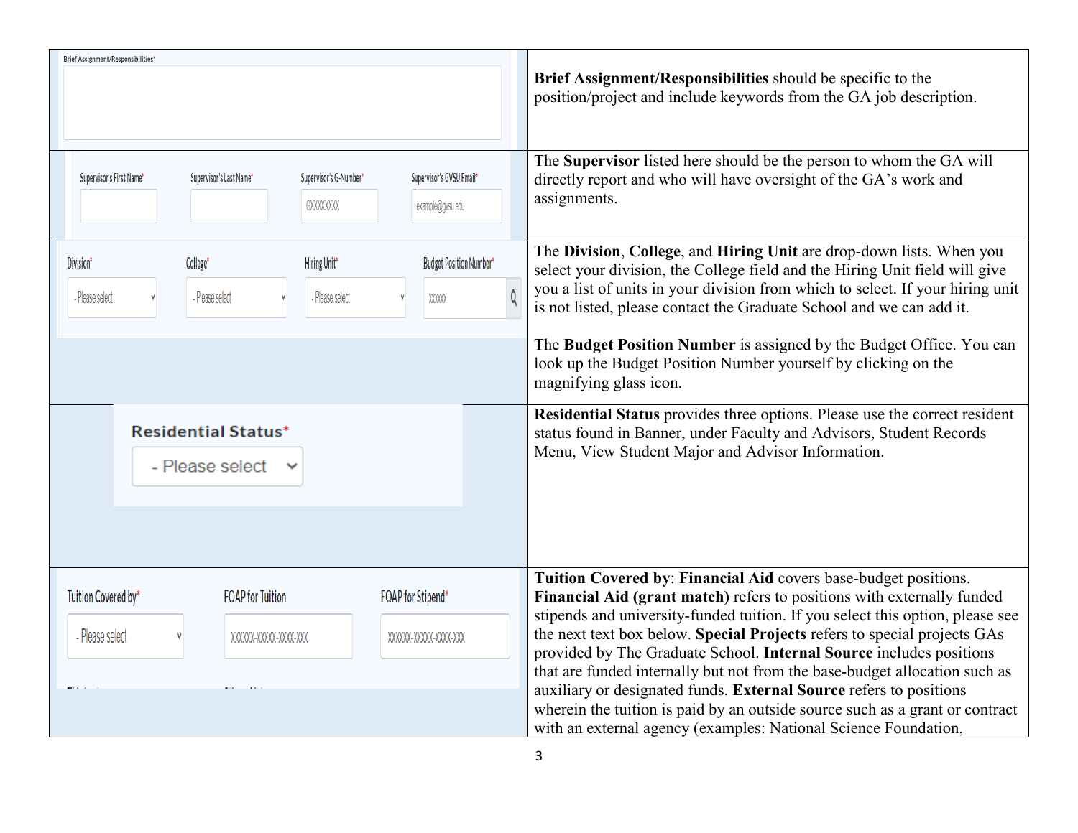| <b>Brief Assignment/Responsibilities*</b>                                                  |                                              |                                                                                                                                                                                                                            |  |
|--------------------------------------------------------------------------------------------|----------------------------------------------|----------------------------------------------------------------------------------------------------------------------------------------------------------------------------------------------------------------------------|--|
|                                                                                            |                                              | Brief Assignment/Responsibilities should be specific to the<br>position/project and include keywords from the GA job description.                                                                                          |  |
| Supervisor's First Name*<br>Supervisor's Last Name*<br>Supervisor's G-Number*<br>GXXXXXXXX | Supervisor's GVSU Email*<br>example@gvsu.edu | The Supervisor listed here should be the person to whom the GA will<br>directly report and who will have oversight of the GA's work and<br>assignments.                                                                    |  |
| Division*<br>College*<br>Hiring Unit*                                                      | <b>Budget Position Number*</b>               | The Division, College, and Hiring Unit are drop-down lists. When you<br>select your division, the College field and the Hiring Unit field will give                                                                        |  |
| - Please select<br>- Please select<br>- Please select                                      | XXXXXX                                       | you a list of units in your division from which to select. If your hiring unit<br>is not listed, please contact the Graduate School and we can add it.                                                                     |  |
|                                                                                            |                                              | The Budget Position Number is assigned by the Budget Office. You can<br>look up the Budget Position Number yourself by clicking on the<br>magnifying glass icon.                                                           |  |
| <b>Residential Status*</b><br>- Please select<br>$\checkmark$                              |                                              | Residential Status provides three options. Please use the correct resident<br>status found in Banner, under Faculty and Advisors, Student Records<br>Menu, View Student Major and Advisor Information.                     |  |
| Tuition Covered by*<br><b>FOAP</b> for Tuition                                             | <b>FOAP for Stipend*</b>                     | Tuition Covered by: Financial Aid covers base-budget positions.<br>Financial Aid (grant match) refers to positions with externally funded<br>stipends and university-funded tuition. If you select this option, please see |  |
| - Please select<br>XXXXXX-XXXXX-XXXX-XXX                                                   | XXXXXX-XXXXX-XXXX-XXX                        | the next text box below. Special Projects refers to special projects GAs<br>provided by The Graduate School. Internal Source includes positions                                                                            |  |
|                                                                                            |                                              | that are funded internally but not from the base-budget allocation such as<br>auxiliary or designated funds. External Source refers to positions                                                                           |  |
|                                                                                            |                                              | wherein the tuition is paid by an outside source such as a grant or contract                                                                                                                                               |  |
|                                                                                            |                                              | with an external agency (examples: National Science Foundation,                                                                                                                                                            |  |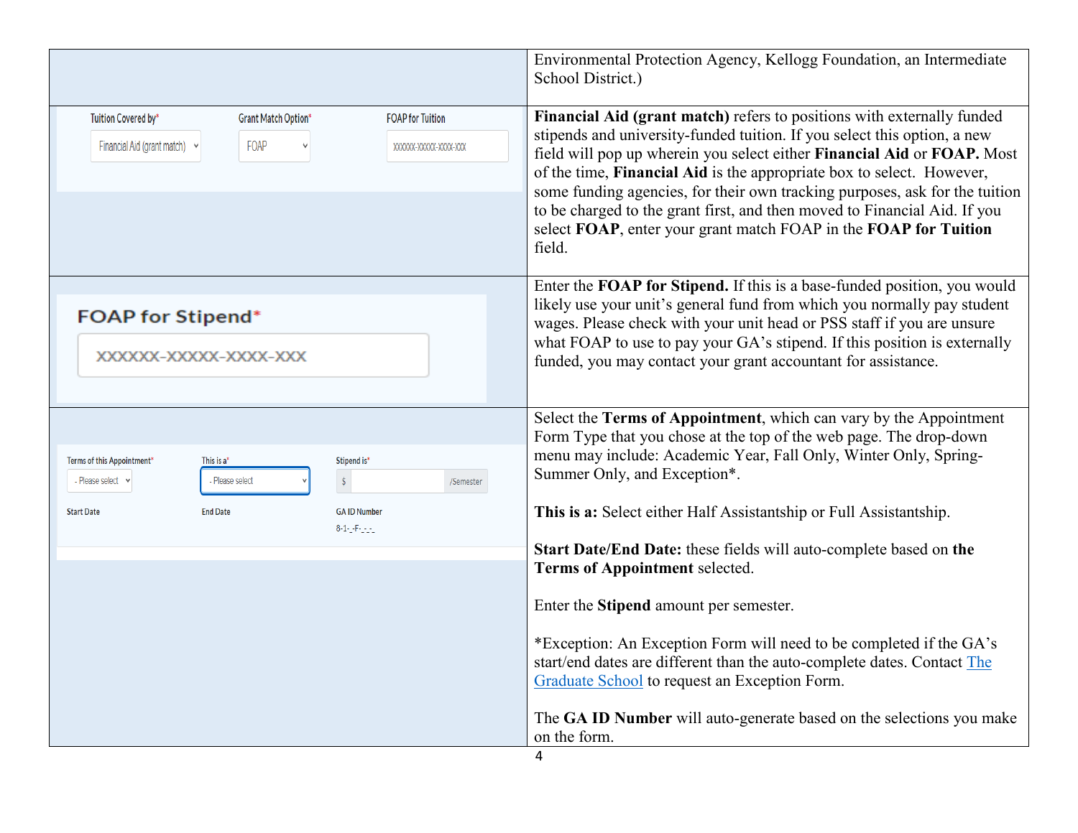|                                                                                                                                                                                                                    | Environmental Protection Agency, Kellogg Foundation, an Intermediate<br>School District.)                                                                                                                                                                                                                                                                                                                                                                                                                                                                                                                                                                                                                                                                           |
|--------------------------------------------------------------------------------------------------------------------------------------------------------------------------------------------------------------------|---------------------------------------------------------------------------------------------------------------------------------------------------------------------------------------------------------------------------------------------------------------------------------------------------------------------------------------------------------------------------------------------------------------------------------------------------------------------------------------------------------------------------------------------------------------------------------------------------------------------------------------------------------------------------------------------------------------------------------------------------------------------|
| Tuition Covered by*<br><b>Grant Match Option*</b><br><b>FOAP for Tuition</b><br>Financial Aid (grant match)<br>FOAP<br>XXXXX-XXXXX-XXXX-XXX                                                                        | Financial Aid (grant match) refers to positions with externally funded<br>stipends and university-funded tuition. If you select this option, a new<br>field will pop up wherein you select either Financial Aid or FOAP. Most<br>of the time, Financial Aid is the appropriate box to select. However,<br>some funding agencies, for their own tracking purposes, ask for the tuition<br>to be charged to the grant first, and then moved to Financial Aid. If you<br>select FOAP, enter your grant match FOAP in the FOAP for Tuition<br>field.                                                                                                                                                                                                                    |
| <b>FOAP for Stipend*</b><br>XXXXXX-XXXXX-XXXX-XXX                                                                                                                                                                  | Enter the FOAP for Stipend. If this is a base-funded position, you would<br>likely use your unit's general fund from which you normally pay student<br>wages. Please check with your unit head or PSS staff if you are unsure<br>what FOAP to use to pay your GA's stipend. If this position is externally<br>funded, you may contact your grant accountant for assistance.                                                                                                                                                                                                                                                                                                                                                                                         |
| Terms of this Appointment*<br>This is a*<br>Stipend is*<br>$\hat{\mathbf{S}}$<br>- Please select v<br>- Please select<br>/Semester<br><b>End Date</b><br><b>Start Date</b><br><b>GA ID Number</b><br>8-1-1-F-1-1-1 | Select the Terms of Appointment, which can vary by the Appointment<br>Form Type that you chose at the top of the web page. The drop-down<br>menu may include: Academic Year, Fall Only, Winter Only, Spring-<br>Summer Only, and Exception*.<br>This is a: Select either Half Assistantship or Full Assistantship.<br>Start Date/End Date: these fields will auto-complete based on the<br>Terms of Appointment selected.<br>Enter the Stipend amount per semester.<br>*Exception: An Exception Form will need to be completed if the GA's<br>start/end dates are different than the auto-complete dates. Contact The<br>Graduate School to request an Exception Form.<br>The GA ID Number will auto-generate based on the selections you make<br>on the form.<br>4 |